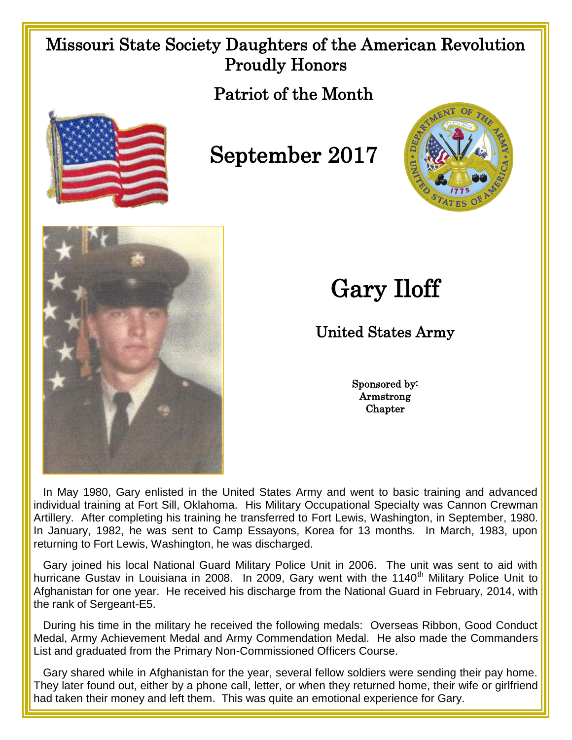## Missouri State Society Daughters of the American Revolution Proudly Honors

Patriot of the Month



## September 2017





## Gary Iloff

## United States Army

Sponsored by: Armstrong **Chapter** 

 In May 1980, Gary enlisted in the United States Army and went to basic training and advanced individual training at Fort Sill, Oklahoma. His Military Occupational Specialty was Cannon Crewman Artillery. After completing his training he transferred to Fort Lewis, Washington, in September, 1980. In January, 1982, he was sent to Camp Essayons, Korea for 13 months. In March, 1983, upon returning to Fort Lewis, Washington, he was discharged.

 Gary joined his local National Guard Military Police Unit in 2006. The unit was sent to aid with hurricane Gustav in Louisiana in 2008. In 2009, Gary went with the 1140<sup>th</sup> Military Police Unit to Afghanistan for one year. He received his discharge from the National Guard in February, 2014, with the rank of Sergeant-E5.

 During his time in the military he received the following medals: Overseas Ribbon, Good Conduct Medal, Army Achievement Medal and Army Commendation Medal. He also made the Commanders List and graduated from the Primary Non-Commissioned Officers Course.

 Gary shared while in Afghanistan for the year, several fellow soldiers were sending their pay home. They later found out, either by a phone call, letter, or when they returned home, their wife or girlfriend had taken their money and left them. This was quite an emotional experience for Gary.